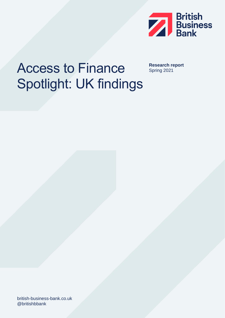

# Access to Finance Spotlight: UK findings

**Research report**  Spring 2021

british-business-bank.co.uk @britishbbank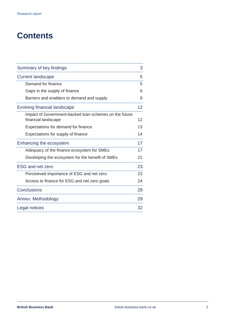# **Contents**

| Summary of key findings                                                       | 3  |
|-------------------------------------------------------------------------------|----|
| <b>Current landscape</b>                                                      | 5  |
| Demand for finance                                                            | 5  |
| Gaps in the supply of finance                                                 | 6  |
| Barriers and enablers to demand and supply                                    | 9  |
| <b>Evolving financial landscape</b>                                           | 12 |
| Impact of Government-backed loan schemes on the future<br>financial landscape | 12 |
| Expectations for demand for finance                                           | 13 |
| Expectations for supply of finance                                            | 14 |
| Enhancing the ecosystem                                                       | 17 |
| Adequacy of the finance ecosystem for SMEs                                    | 17 |
| Developing the ecosystem for the benefit of SMEs                              | 21 |
| <b>ESG and net zero</b>                                                       | 23 |
| Perceieved importance of ESG and net zero                                     | 23 |
| Access to finance for ESG and net zero goals                                  | 24 |
| Conclusions                                                                   | 28 |
| Annex: Methodology                                                            | 29 |
| Legal notices                                                                 | 32 |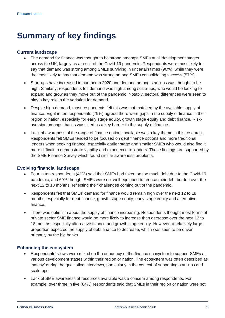# <span id="page-2-0"></span>**Summary of key findings**

### **Current landscape**

- The demand for finance was thought to be strong amongst SMEs at all development stages across the UK, largely as a result of the Covid-19 pandemic. Respondents were most likely to say that demand was strong among SMEs surviving in uncertain times (90%), while they were the least likely to say that demand was strong among SMEs consolidating success (57%).
- Start-ups have increased in number in 2020 and demand among start-ups was thought to be high. Similarly, respondents felt demand was high among scale-ups, who would be looking to expand and grow as they move out of the pandemic. Notably, sectoral differences were seen to play a key role in the variation for demand.
- Despite high demand, most respondents felt this was not matched by the available supply of finance. Eight in ten respondents (79%) agreed there were gaps in the supply of finance in their region or nation, especially for early stage equity, growth stage equity and debt finance. Riskaversion amongst banks was cited as a key barrier to the supply of finance.
- Lack of awareness of the range of finance options available was a key theme in this research. Respondents felt SMEs tended to be focused on debt finance options and more traditional lenders when seeking finance, especially earlier stage and smaller SMEs who would also find it more difficult to demonstrate viability and experience to lenders. These findings are supported by the SME Finance Survey which found similar awareness problems.

### **Evolving financial landscape**

- Four in ten respondents (41%) said that SMEs had taken on too much debt due to the Covid-19 pandemic, and 69% thought SMEs were not well-equipped to reduce their debt burden over the next 12 to 18 months, reflecting their challenges coming out of the pandemic.
- Respondents felt that SMEs' demand for finance would remain high over the next 12 to 18 months, especially for debt finance, growth stage equity, early stage equity and alternative finance.
- There was optimism about the supply of finance increasing. Respondents thought most forms of private sector SME finance would be more likely to increase than decrease over the next 12 to 18 months, especially alternative finance and growth stage equity. However, a relatively large proportion expected the supply of debt finance to decrease, which was seen to be driven primarily by the big banks.

### **Enhancing the ecosystem**

- Respondents' views were mixed on the adequacy of the finance ecosystem to support SMEs at various development stages within their region or nation. The ecosystem was often described as 'patchy' during the qualitative interviews, particularly in the context of supporting start-ups and scale ups.
- Lack of SME awareness of resources available was a concern among respondents. For example, over three in five (64%) respondents said that SMEs in their region or nation were not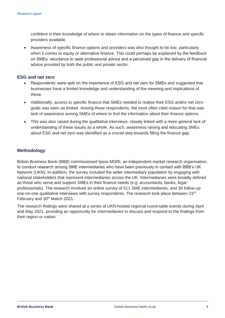confident in their knowledge of where to obtain information on the types of finance and specific providers available.

• Awareness of specific finance options and providers was also thought to be low, particularly when it comes to equity or alternative finance. This could perhaps be explained by the feedback on SMEs' reluctance to seek professional advice and a perceived gap in the delivery of financial advice provided by both the public and private sector.

### **ESG and net zero**

- Respondents' were split on the importance of ESG and net zero for SMEs and suggested that businesses have a limited knowledge and understanding of the meaning and implications of these.
- Additionally, access to specific finance that SMEs needed to realise their ESG and/or net zero goals was seen as limited. Among these respondents, the most often cited reason for that was lack of awareness among SMEs of where to find the information about their finance options.
- This was also raised during the qualitative interviews, closely linked with a more general lack of understanding of these issues as a whole. As such, awareness raising and educating SMEs about ESG and net zero was identified as a crucial step towards filling the finance gap.

### **Methodology**

British Business Bank (BBB) commissioned Ipsos MORI, an independent market research organisation, to conduct research among SME intermediaries who have been previously in contact with BBB's UK Network (UKN). In addition, the survey included the wider intermediary population by engaging with national stakeholders that represent intermediaries across the UK. Intermediaries were broadly defined as those who serve and support SMEs in their finance needs (e.g. accountants, banks, legal professionals). The research involved an online survey of 511 SME intermediaries, and 36 follow-up one-on-one qualitative interviews with survey respondents. The research took place between 23rd February and 30<sup>th</sup> March 2021.

The research findings were shared at a series of UKN-hosted regional round-table events during April and May 2021, providing an opportunity for intermediaries to discuss and respond to the findings from their region or nation.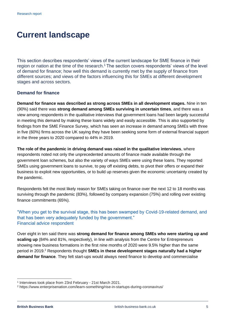# <span id="page-4-0"></span>**Current landscape**

This section describes respondents' views of the current landscape for SME finance in their region or nation at the time of the research.<sup>1</sup> The section covers respondents' views of the level of demand for finance; how well this demand is currently met by the supply of finance from different sources; and views of the factors influencing this for SMEs at different development stages and across sectors.

### <span id="page-4-1"></span>**Demand for finance**

**Demand for finance was described as strong across SMEs in all development stages.** Nine in ten (90%) said there was **strong demand among SMEs surviving in uncertain times**, and there was a view among respondents in the qualitative interviews that government loans had been largely successful in meeting this demand by making these loans widely and easily accessible. This is also supported by findings from the SME Finance Survey, which has seen an increase in demand among SMEs with three in five (60%) firms across the UK saying they have been seeking some form of external financial support in the three years to 2020 compared to 44% in 2019.

**The role of the pandemic in driving demand was raised in the qualitative interviews**, where respondents noted not only the unprecedented amounts of finance made available through the government loan schemes, but also the variety of ways SMEs were using these loans. They reported SMEs using government loans to survive, to pay off existing debts, to pivot their offers or expand their business to exploit new opportunities, or to build up reserves given the economic uncertainty created by the pandemic.

Respondents felt the most likely reason for SMEs taking on finance over the next 12 to 18 months was surviving through the pandemic (83%), followed by company expansion (75%) and rolling over existing finance commitments (65%).

"When you get to the survival stage, this has been swamped by Covid-19-related demand, and that has been very adequately funded by the government." Financial advice respondent

Over eight in ten said there was **strong demand for finance among SMEs who were starting up and scaling up** (84% and 81%, respectively), in line with analysis from the Centre for Entrepreneurs showing new business formations in the first nine months of 2020 were 9.5% higher than the same period in 2019.<sup>2</sup> Respondents thought **SMEs in these development stages naturally had a higher demand for finance**. They felt start-ups would always need finance to develop and commercialise

<sup>1</sup> Interviews took place from 23rd February - 21st March 2021.

<sup>2</sup> https://www.enterprisenation.com/learn-something/rise-in-startups-during-coronavirus/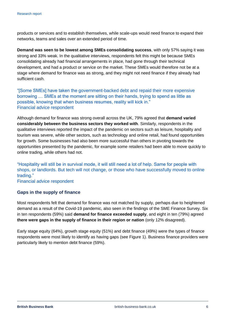products or services and to establish themselves, while scale-ups would need finance to expand their networks, teams and sales over an extended period of time.

**Demand was seen to be lowest among SMEs consolidating success**, with only 57% saying it was strong and 33% weak. In the qualitative interviews, respondents felt this might be because SMEs consolidating already had financial arrangements in place, had gone through their technical development, and had a product or service on the market. These SMEs would therefore not be at a stage where demand for finance was as strong, and they might not need finance if they already had sufficient cash.

"[Some SMEs] have taken the government-backed debt and repaid their more expensive borrowing … SMEs at the moment are sitting on their hands, trying to spend as little as possible, knowing that when business resumes, reality will kick in." Financial advice respondent

Although demand for finance was strong overall across the UK, 79% agreed that **demand varied considerably between the business sectors they worked with**. Similarly, respondents in the qualitative interviews reported the impact of the pandemic on sectors such as leisure, hospitality and tourism was severe, while other sectors, such as technology and online retail, had found opportunities for growth. Some businesses had also been more successful than others in pivoting towards the opportunities presented by the pandemic, for example some retailers had been able to move quickly to online trading, while others had not.

"Hospitality will still be in survival mode, it will still need a lot of help. Same for people with shops, or landlords. But tech will not change, or those who have successfully moved to online trading."

Financial advice respondent

### <span id="page-5-0"></span>**Gaps in the supply of finance**

Most respondents felt that demand for finance was not matched by supply, perhaps due to heightened demand as a result of the Covid-19 pandemic, also seen in the findings of the SME Finance Survey. Six in ten respondents (59%) said **demand for finance exceeded supply**, and eight in ten (79%) agreed **there were gaps in the supply of finance in their region or nation** (only 12% disagreed).

Early stage equity (64%), growth stage equity (51%) and debt finance (49%) were the types of finance respondents were most likely to identify as having gaps (see Figure 1). Business finance providers were particularly likely to mention debt finance (59%).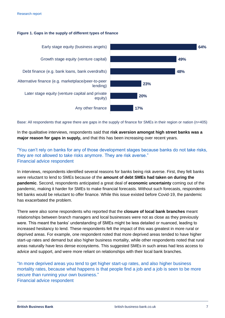# **Figure 1. Gaps in the supply of different types of finance 49% 48% 23% 20% 17%** Early stage equity (business angels) Growth stage equity (venture capital) Debt finance (e.g. bank loans, bank overdrafts) Alternative finance (e.g. marketplace/peer-to-peer lending) Later stage equity (venture capital and private equity) Any other finance

Base: All respondents that agree there are gaps in the supply of finance for SMEs in their region or nation (n=405)

In the qualitative interviews, respondents said that **risk aversion amongst high street banks was a major reason for gaps in supply,** and that this has been increasing over recent years.

# "You can't rely on banks for any of those development stages because banks do not take risks, they are not allowed to take risks anymore. They are risk averse." Financial advice respondent

In interviews, respondents identified several reasons for banks being risk averse. First, they felt banks were reluctant to lend to SMEs because of the **amount of debt SMEs had taken on during the pandemic**. Second, respondents anticipated a great deal of **economic uncertainty** coming out of the pandemic, making it harder for SMEs to make financial forecasts. Without such forecasts, respondents felt banks would be reluctant to offer finance. While this issue existed before Covid-19, the pandemic has exacerbated the problem.

There were also some respondents who reported that the **closure of local bank branches** meant relationships between branch managers and local businesses were not as close as they previously were. This meant the banks' understanding of SMEs might be less detailed or nuanced, leading to increased hesitancy to lend. These respondents felt the impact of this was greatest in more rural or deprived areas. For example, one respondent noted that more deprived areas tended to have higher start-up rates and demand but also higher business mortality, while other respondents noted that rural areas naturally have less dense ecosystems. This suggested SMEs in such areas had less access to advice and support, and were more reliant on relationships with their local bank branches.

"In more deprived areas you tend to get higher start-up rates, and also higher business mortality rates, because what happens is that people find a job and a job is seen to be more secure than running your own business." Financial advice respondent

**64%**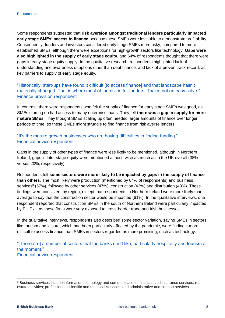Some respondents suggested that **risk aversion amongst traditional lenders particularly impacted early stage SMEs' access to finance** because these SMEs were less able to demonstrate profitability. Consequently, funders and investors considered early stage SMEs more risky, compared to more established SMEs, although there were exceptions for high-growth sectors like technology. **Gaps were also highlighted in the supply of early stage equity**, and 64% of respondents thought that there were gaps in early stage equity supply. In the qualitative research, respondents highlighted lack of understanding and awareness of options other than debt finance, and lack of a proven track-record, as key barriers to supply of early stage equity.

# "Historically, start-ups have found it difficult [to access finance] and that landscape hasn't materially changed. That is where most of the risk is for funders. That is not an easy solve." Finance provision respondent

In contrast, there were respondents who felt the supply of finance for early stage SMEs was good, as SMEs starting up had access to many enterprise loans. They felt **there was a gap in supply for more mature SMEs**. They thought SMEs scaling up often needed larger amounts of finance over longer periods of time, so these SMEs might struggle to find finance from risk averse lenders.

# "It's the mature growth businesses who are having difficulties in finding funding." Financial advice respondent

Gaps in the supply of other types of finance were less likely to be mentioned, although in Northern Ireland, gaps in later stage equity were mentioned almost twice as much as in the UK overall (38% versus 20%, respectively).

Respondents felt **some sectors were more likely to be impacted by gaps in the supply of finance than others**. The most likely were production (mentioned by 64% of respondents) and business services<sup>3</sup> (57%), followed by other services (47%), construction (43%) and distribution (43%). These findings were consistent by region, except that respondents in Northern Ireland were more likely than average to say that the construction sector would be impacted (61%). In the qualitative interviews, one respondent reported that construction SMEs in the south of Northern Ireland were particularly impacted by EU Exit, as these firms were very exposed to cross-border trade and Irish businesses.

In the qualitative interviews, respondents also described some sector variation, saying SMEs in sectors like tourism and leisure, which had been particularly affected by the pandemic, were finding it more difficult to access finance than SMEs in sectors regarded as more promising, such as technology.

### "[There are] a number of sectors that the banks don't like, particularly hospitality and tourism at the moment." Financial advice respondent

<sup>3</sup> Business services include information technology and communications; financial and insurance services; real estate activities; professional, scientific and technical services; and administrative and support services.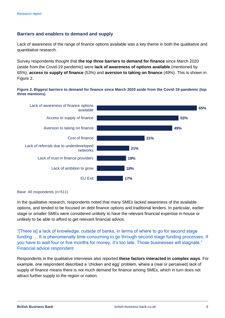### <span id="page-8-0"></span>**Barriers and enablers to demand and supply**

Lack of awareness of the range of finance options available was a key theme in both the qualitative and quantitative research.

Survey respondents thought that **the top three barriers to demand for finance** since March 2020 (aside from the Covid-19 pandemic) were **lack of awareness of options available** (mentioned by 65%), **access to supply of finance** (53%) and **aversion to taking on finance** (49%). This is shown in Figure 2.

#### **Figure 2. Biggest barriers to demand for finance since March 2020 aside from the Covid-19 pandemic (top three mentions)**



#### Base: All respondents (n=511)

In the qualitative research, respondents noted that many SMEs lacked awareness of the available options, and tended to be focused on debt finance options and traditional lenders. In particular, earlier stage or smaller SMEs were considered unlikely to have the relevant financial expertise in-house or unlikely to be able to afford to get relevant financial advice.

"[There is] a lack of knowledge, outside of banks, in terms of where to go for second stage funding ... It is phenomenally time-consuming to go through second stage funding processes. If you have to wait four or five months for money, it's too late. Those businesses will stagnate." Financial advice respondent

Respondents in the qualitative interviews also reported **these factors interacted in complex ways**. For example, one respondent described a 'chicken and egg' problem, where a (real or perceived) lack of supply of finance means there is not much demand for finance among SMEs, which in turn does not attract further supply to the region or nation.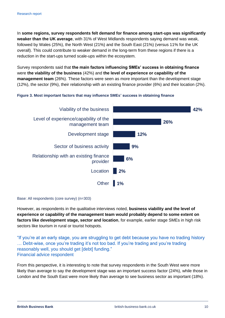In **some regions, survey respondents felt demand for finance among start-ups was significantly weaker than the UK average**, with 31% of West Midlands respondents saying demand was weak, followed by Wales (25%), the North West (21%) and the South East (21%) (versus 11% for the UK overall). This could contribute to weaker demand in the long-term from these regions if there is a reduction in the start-ups turned scale-ups within the ecosystem.

Survey respondents said that **the main factors influencing SMEs' success in obtaining finance** were **the viability of the business** (42%) and **the level of experience or capability of the management team** (26%). These factors were seen as more important than the development stage (12%), the sector (9%), their relationship with an existing finance provider (6%) and their location (2%).

### **Figure 3. Most important factors that may influence SMEs' success in obtaining finance**



#### Base: All respondents (core survey) (n=303)

However, as respondents in the qualitative interviews noted, **business viability and the level of experience or capability of the management team would probably depend to some extent on factors like development stage, sector and location**, for example, earlier stage SMEs in high risk sectors like tourism in rural or tourist hotspots.

"If you're at an early stage, you are struggling to get debt because you have no trading history … Debt-wise, once you're trading it's not too bad. If you're trading and you're trading reasonably well, you should get [debt] funding." Financial advice respondent

From this perspective, it is interesting to note that survey respondents in the South West were more likely than average to say the development stage was an important success factor (24%), while those in London and the South East were more likely than average to see business sector as important (18%).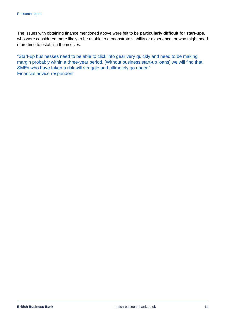The issues with obtaining finance mentioned above were felt to be **particularly difficult for start-ups**, who were considered more likely to be unable to demonstrate viability or experience, or who might need more time to establish themselves.

"Start-up businesses need to be able to click into gear very quickly and need to be making margin probably within a three-year period. [Without business start-up loans] we will find that SMEs who have taken a risk will struggle and ultimately go under." Financial advice respondent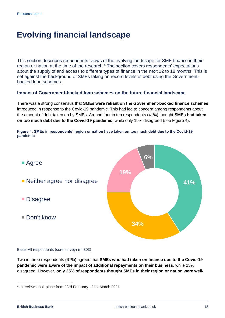# <span id="page-11-0"></span>**Evolving financial landscape**

This section describes respondents' views of the evolving landscape for SME finance in their region or nation at the time of the research. $4$  The section covers respondents' expectations about the supply of and access to different types of finance in the next 12 to 18 months. This is set against the background of SMEs taking on record levels of debt using the Governmentbacked loan schemes.

### <span id="page-11-1"></span>**Impact of Government-backed loan schemes on the future financial landscape**

There was a strong consensus that **SMEs were reliant on the Government-backed finance schemes** introduced in response to the Covid-19 pandemic. This had led to concern among respondents about the amount of debt taken on by SMEs. Around four in ten respondents (41%) thought **SMEs had taken on too much debt due to the Covid-19 pandemic**, while only 19% disagreed (see Figure 4).



#### **Figure 4. SMEs in respondents' region or nation have taken on too much debt due to the Covid-19 pandemic**

#### Base: All respondents (core survey) (n=303)

Two in three respondents (67%) agreed that **SMEs who had taken on finance due to the Covid-19 pandemic were aware of the impact of additional repayments on their business**, while 23% disagreed. However, **only 25% of respondents thought SMEs in their region or nation were well-**

<sup>4</sup> Interviews took place from 23rd February - 21st March 2021.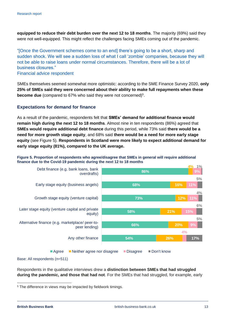**equipped to reduce their debt burden over the next 12 to 18 months**. The majority (69%) said they were not well-equipped. This might reflect the challenges facing SMEs coming out of the pandemic.

"[Once the Government schemes come to an end] there's going to be a short, sharp and sudden shock. We will see a sudden loss of what I call 'zombie' companies, because they will not be able to raise loans under normal circumstances. Therefore, there will be a lot of business closures."

Financial advice respondent

SMEs themselves seemed somewhat more optimistic: according to the SME Finance Survey 2020, **only 25% of SMEs said they were concerned about their ability to make full repayments when these become due** (compared to 67% who said they were not concerned)<sup>5</sup>.

### <span id="page-12-0"></span>**Expectations for demand for finance**

As a result of the pandemic, respondents felt that **SMEs' demand for additional finance would remain high during the next 12 to 18 months**. Almost nine in ten respondents (86%) agreed that **SMEs would require additional debt finance** during this period, while 73% said **there would be a need for more growth stage equity**, and 68% said **there would be a need for more early stage equity** (see Figure 5). **Respondents in Scotland were more likely to expect additional demand for early stage equity (81%), compared to the UK average.**

**Figure 5. Proportion of respondents who agree/disagree that SMEs in general will require additional finance due to the Covid-19 pandemic during the next 12 to 18 months**



Base: All respondents (n=511)

Respondents in the qualitative interviews drew a **distinction between SMEs that had struggled during the pandemic, and those that had not**. For the SMEs that had struggled, for example, early

<sup>&</sup>lt;sup>5</sup> The difference in views may be impacted by fieldwork timings.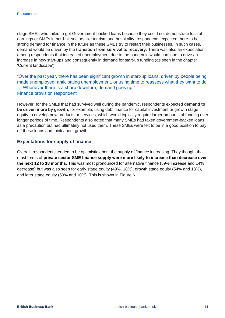stage SMEs who failed to get Government-backed loans because they could not demonstrate loss of earnings or SMEs in hard-hit sectors like tourism and hospitality, respondents expected there to be strong demand for finance in the future as these SMEs try to restart their businesses. In such cases, demand would be driven by the **transition from survival to recovery**. There was also an expectation among respondents that increased unemployment due to the pandemic would continue to drive an increase in new start-ups and consequently in demand for start-up funding (as seen in the chapter 'Current landscape').

"Over the past year, there has been significant growth in start-up loans, driven by people being made unemployed, anticipating unemployment, or using time to reassess what they want to do … Whenever there is a sharp downturn, demand goes up." Finance provision respondent

However, for the SMEs that had survived well during the pandemic, respondents expected **demand to be driven more by growth**, for example, using debt finance for capital investment or growth stage equity to develop new products or services, which would typically require larger amounts of funding over longer periods of time. Respondents also noted that many SMEs had taken government-backed loans as a precaution but had ultimately not used them. These SMEs were felt to be in a good position to pay off these loans and think about growth.

### <span id="page-13-0"></span>**Expectations for supply of finance**

Overall, respondents tended to be optimistic about the supply of finance increasing. They thought that most forms of **private sector SME finance supply were more likely to increase than decrease over the next 12 to 18 months**. This was most pronounced for alternative finance (59% increase and 14% decrease) but was also seen for early stage equity (49%, 18%), growth stage equity (54% and 13%), and later stage equity (50% and 10%). This is shown in Figure 6.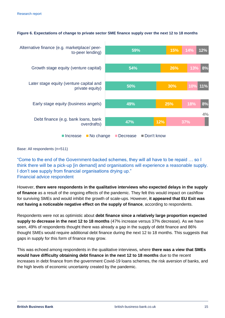

### **Figure 6. Expectations of change to private sector SME finance supply over the next 12 to 18 months**

Base: All respondents (n=511)

"Come to the end of the Government-backed schemes, they will all have to be repaid … so I think there will be a pick-up [in demand] and organisations will experience a reasonable supply. I don't see supply from financial organisations drying up." Financial advice respondent

However, **there were respondents in the qualitative interviews who expected delays in the supply of finance** as a result of the ongoing effects of the pandemic. They felt this would impact on cashflow for surviving SMEs and would inhibit the growth of scale-ups. However, **it appeared that EU Exit was not having a noticeable negative effect on the supply of finance**, according to respondents.

Respondents were not as optimistic about **debt finance since a relatively large proportion expected supply to decrease in the next 12 to 18 months** (47% increase versus 37% decrease). As we have seen, 49% of respondents thought there was already a gap in the supply of debt finance and 86% thought SMEs would require additional debt finance during the next 12 to 18 months. This suggests that gaps in supply for this form of finance may grow.

This was echoed among respondents in the qualitative interviews, where **there was a view that SMEs would have difficulty obtaining debt finance in the next 12 to 18 months** due to the recent increases in debt finance from the government Covid-19 loans schemes, the risk aversion of banks, and the high levels of economic uncertainty created by the pandemic.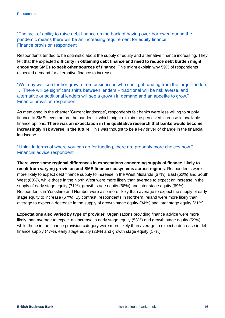"The lack of ability to raise debt finance on the back of having over-borrowed during the pandemic means there will be an increasing requirement for equity finance." Finance provision respondent

Respondents tended to be optimistic about the supply of equity and alternative finance increasing. They felt that the expected **difficulty in obtaining debt finance and need to reduce debt burden might encourage SMEs to seek other sources of finance**. This might explain why 59% of respondents expected demand for alternative finance to increase.

"We may well see further growth from businesses who can't get funding from the larger lenders … There will be significant shifts between lenders – traditional will be risk averse, and alternative or additional lenders will see a growth in demand and an appetite to grow." Finance provision respondent

As mentioned in the chapter 'Current landscape', respondents felt banks were less willing to supply finance to SMEs even before the pandemic, which might explain the perceived increase in available finance options. **There was an expectation in the qualitative research that banks would become increasingly risk averse in the future**. This was thought to be a key driver of change in the financial landscape.

# "I think in terms of where you can go for funding, there are probably more choices now." Financial advice respondent

**There were some regional differences in expectations concerning supply of finance, likely to result from varying provision and SME finance ecosystems across regions**. Respondents were more likely to expect debt finance supply to increase in the West Midlands (67%), East (62%) and South West (60%), while those in the North West were more likely than average to expect an increase in the supply of early stage equity (71%), growth stage equity (68%) and later stage equity (69%). Respondents in Yorkshire and Humber were also more likely than average to expect the supply of early stage equity to increase (67%). By contrast, respondents in Northern Ireland were more likely than average to expect a decrease in the supply of growth stage equity (34%) and later stage equity (21%).

**Expectations also varied by type of provider**. Organisations providing finance advice were more likely than average to expect an increase in early stage equity (53%) and growth stage equity (59%), while those in the finance provision category were more likely than average to expect a decrease in debt finance supply (47%), early stage equity (23%) and growth stage equity (17%).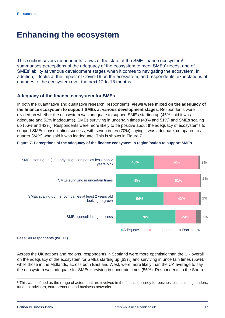# **Enhancing the ecosystem**

This section covers respondents' views of the state of the SME finance ecosystem<sup>6</sup>. It summarises perceptions of the adequacy of the ecosystem to meet SMEs' needs, and of SMEs' ability at various development stages when it comes to navigating the ecosystem. In addition, it looks at the impact of Covid-19 on the ecosystem, and respondents' expectations of changes to the ecosystem over the next 12 to 18 months.

### <span id="page-16-0"></span>**Adequacy of the finance ecosystem for SMEs**

In both the quantitative and qualitative research, respondents' **views were mixed on the adequacy of the finance ecosystem to support SMEs at various development stages**. Respondents were divided on whether the ecosystem was adequate to support SMEs starting up (45% said it was adequate and 52% inadequate), SMEs surviving in uncertain times (48% and 51%) and SMEs scaling up (56% and 42%). Respondents were more likely to be positive about the adequacy of ecosystems to support SMEs consolidating success, with seven in ten (70%) saying it was adequate, compared to a quarter (24%) who said it was inadequate. This is shown in Figure 7.



#### **Figure 7. Perceptions of the adequacy of the finance ecosystem in region/nation to support SMEs**

Base: All respondents (n=511)

Across the UK nations and regions, respondents in Scotland were more optimistic than the UK overall on the adequacy of the ecosystem for SMEs starting up (63%) and surviving in uncertain times (65%), while those in the Midlands, across both East and West, were more likely than the UK average to say the ecosystem was adequate for SMEs surviving in uncertain times (55%). Respondents in the South

<sup>&</sup>lt;sup>6</sup> This was defined as the range of actors that are involved in the finance journey for businesses, including lenders, funders, advisors, entrepreneurs and business networks.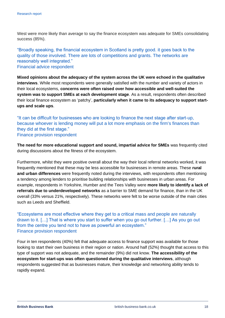West were more likely than average to say the finance ecosystem was adequate for SMEs consolidating success (85%).

## "Broadly speaking, the financial ecosystem in Scotland is pretty good. it goes back to the quality of those involved. There are lots of competitions and grants. The networks are reasonably well integrated." Financial advice respondent

**Mixed opinions about the adequacy of the system across the UK were echoed in the qualitative interviews**. While most respondents were generally satisfied with the number and variety of actors in their local ecosystems, **concerns were often raised over how accessible and well-suited the system was to support SMEs at each development stage**. As a result, respondents often described their local finance ecosystem as 'patchy', **particularly when it came to its adequacy to support startups and scale ups**.

"It can be difficult for businesses who are looking to finance the next stage after start-up, because whoever is lending money will put a lot more emphasis on the firm's finances than they did at the first stage." Finance provision respondent

**The need for more educational support and sound, impartial advice for SMEs** was frequently cited during discussions about the fitness of the ecosystem.

Furthermore, whilst they were positive overall about the way their local referral networks worked, it was frequently mentioned that these may be less accessible for businesses in remote areas. These **rural and urban differences** were frequently noted during the interviews, with respondents often mentioning a tendency among lenders to prioritise building relationships with businesses in urban areas. For example, respondents in Yorkshire, Humber and the Tees Valley were **more likely to identify a lack of referrals due to underdeveloped networks** as a barrier to SME demand for finance, than in the UK overall (33% versus 21%, respectively). These networks were felt to be worse outside of the main cities such as Leeds and Sheffield.

"Ecosystems are most effective where they get to a critical mass and people are naturally drawn to it. […] That is where you start to suffer when you go out further. […] As you go out from the centre you tend not to have as powerful an ecosystem." Finance provision respondent

Four in ten respondents (40%) felt that adequate access to finance support was available for those looking to start their own business in their region or nation. Around half (52%) thought that access to this type of support was not adequate, and the remainder (9%) did not know. **The accessibility of the ecosystem for start-ups was often questioned during the qualitative interviews**, although respondents suggested that as businesses mature, their knowledge and networking ability tends to rapidly expand.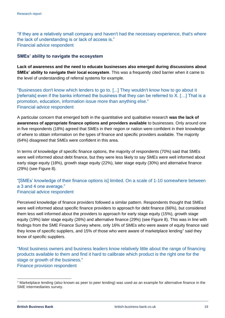"If they are a relatively small company and haven't had the necessary experience, that's where the lack of understanding is or lack of access is." Financial advice respondent

### **SMEs' ability to navigate the ecosystem**

**Lack of awareness and the need to educate businesses also emerged during discussions about SMEs' ability to navigate their local ecosystem**. This was a frequently cited barrier when it came to the level of understanding of referral systems for example.

"Businesses don't know which lenders to go to. [...] They wouldn't know how to go about it [referrals] even if the banks informed the business that they can be referred to X. […] That is a promotion, education, information issue more than anything else." Financial advice respondent

A particular concern that emerged both in the quantitative and qualitative research **was the lack of awareness of appropriate finance options and providers available** to businesses. Only around one in five respondents (18%) agreed that SMEs in their region or nation were confident in their knowledge of where to obtain information on the types of finance and specific providers available. The majority (64%) disagreed that SMEs were confident in this area.

In terms of knowledge of specific finance options, the majority of respondents (70%) said that SMEs were well informed about debt finance, but they were less likely to say SMEs were well informed about early stage equity (18%), growth stage equity (22%), later stage equity (30%) and alternative finance (29%) (see Figure 8).

### "[SMEs' knowledge of their finance options is] limited. On a scale of 1-10 somewhere between a 3 and 4 one average." Financial advice respondent

Perceived knowledge of finance providers followed a similar pattern. Respondents thought that SMEs were well informed about specific finance providers to approach for debt finance (66%), but considered them less well informed about the providers to approach for early stage equity (15%), growth stage equity (19%) later stage equity (26%) and alternative finance (29%) (see Figure 8). This was in line with findings from the SME Finance Survey where, only 16% of SMEs who were aware of equity finance said they know of specific suppliers, and 15% of those who were aware of marketplace lending<sup>7</sup> said they know of specific suppliers.

"Most business owners and business leaders know relatively little about the range of financing products available to them and find it hard to calibrate which product is the right one for the stage or growth of the business." Finance provision respondent

<sup>7</sup> Marketplace lending (also known as peer to peer lending) was used as an example for alternative finance in the SME intermediaries survey.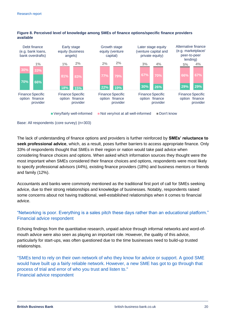![](_page_19_Figure_1.jpeg)

#### **Figure 8. Perceived level of knowledge among SMEs of finance options/specific finance providers available**

Base: All respondents (core survey) (n=303)

The lack of understanding of finance options and providers is further reinforced by **SMEs' reluctance to seek professional advice**, which, as a result, poses further barriers to access appropriate finance. Only 33% of respondents thought that SMEs in their region or nation would take paid advice when considering finance choices and options. When asked which information sources they thought were the most important when SMEs considered their finance choices and options, respondents were most likely to specify professional advisors (44%), existing finance providers (18%) and business mentors or friends and family (12%).

Accountants and banks were commonly mentioned as the traditional first port of call for SMEs seeking advice, due to their strong relationships and knowledge of businesses. Notably, respondents raised some concerns about not having traditional, well-established relationships when it comes to financial advice.

# "Networking is poor. Everything is a sales pitch these days rather than an educational platform." Financial advice respondent

Echoing findings from the quantitative research, unpaid advice through informal networks and word-ofmouth advice were also seen as playing an important role. However, the quality of this advice, particularly for start-ups, was often questioned due to the time businesses need to build-up trusted relationships.

"SMEs tend to rely on their own network of who they know for advice or support. A good SME would have built up a fairly reliable network. However, a new SME has got to go through that process of trial and error of who you trust and listen to." Financial advice respondent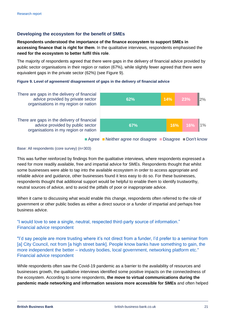# <span id="page-20-0"></span>**Developing the ecosystem for the benefit of SMEs**

**Respondents understood the importance of the finance ecosystem to support SMEs in accessing finance that is right for them**. In the qualitative interviews, respondents emphasised the **need for the ecosystem to better fulfil this role**.

The majority of respondents agreed that there were gaps in the delivery of financial advice provided by public sector organisations in their region or nation (67%), while slightly fewer agreed that there were equivalent gaps in the private sector (62%) (see Figure 9).

#### **Figure 9. Level of agreement/ disagreement of gaps in the delivery of financial advice**

There are gaps in the delivery of financial advice provided by private sector organisations in my region or nation

There are gaps in the delivery of financial advice provided by public sector organisations in my region or nation

![](_page_20_Figure_7.jpeg)

# ■ Agree Neither agree nor disagree ■ Disagree ■ Don't know

### Base: All respondents (core survey) (n=303)

This was further reinforced by findings from the qualitative interviews, where respondents expressed a need for more readily available, free and impartial advice for SMEs. Respondents thought that whilst some businesses were able to tap into the available ecosystem in order to access appropriate and reliable advice and guidance, other businesses found it less easy to do so. For these businesses, respondents thought that additional support would be helpful to enable them to identify trustworthy, neutral sources of advice, and to avoid the pitfalls of poor or inappropriate advice.

When it came to discussing what would enable this change, respondents often referred to the role of government or other public bodies as either a direct source or a funder of impartial and perhaps free business advice.

"I would love to see a single, neutral, respected third-party source of information." Financial advice respondent

"I'd say people are more trusting where it's not direct from a funder, I'd prefer to a seminar from [a] City Council, not from [a high street bank]. People know banks have something to gain, the more independent the better – industry bodies, local government, networking platform etc." Financial advice respondent

While respondents often saw the Covid-19 pandemic as a barrier to the availability of resources and businesses growth, the qualitative interviews identified some positive impacts on the connectedness of the ecosystem. According to some respondents, **the move to virtual communications during the pandemic made networking and information sessions more accessible for SMEs** and often helped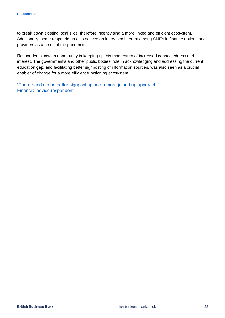to break down existing local silos, therefore incentivising a more linked and efficient ecosystem. Additionally, some respondents also noticed an increased interest among SMEs in finance options and providers as a result of the pandemic.

Respondents saw an opportunity in keeping up this momentum of increased connectedness and interest. The government's and other public bodies' role in acknowledging and addressing the current education gap, and facilitating better signposting of information sources, was also seen as a crucial enabler of change for a more efficient functioning ecosystem.

"There needs to be better signposting and a more joined up approach." Financial advice respondent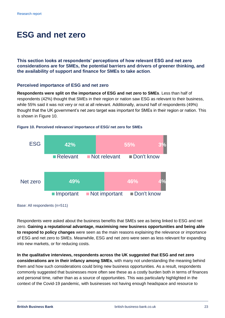# <span id="page-22-0"></span>**ESG and net zero**

**This section looks at respondents' perceptions of how relevant ESG and net zero considerations are for SMEs, the potential barriers and drivers of greener thinking, and the availability of support and finance for SMEs to take action**.

### <span id="page-22-1"></span>**Perceived importance of ESG and net zero**

**Respondents were split on the importance of ESG and net zero to SMEs**. Less than half of respondents (42%) thought that SMEs in their region or nation saw ESG as relevant to their business, while 55% said it was not very or not at all relevant. Additionally, around half of respondents (49%) thought that the UK government's net zero target was important for SMEs in their region or nation. This is shown in Figure 10.

![](_page_22_Figure_5.jpeg)

![](_page_22_Figure_6.jpeg)

Respondents were asked about the business benefits that SMEs see as being linked to ESG and net zero. **Gaining a reputational advantage, maximising new business opportunities and being able to respond to policy changes** were seen as the main reasons explaining the relevance or importance of ESG and net zero to SMEs. Meanwhile, ESG and net zero were seen as less relevant for expanding into new markets, or for reducing costs.

**In the qualitative interviews, respondents across the UK suggested that ESG and net zero considerations are in their infancy among SMEs**, with many not understanding the meaning behind them and how such considerations could bring new business opportunities. As a result, respondents commonly suggested that businesses more often see these as a costly burden both in terms of finances and personal time, rather than as a source of opportunities. This was particularly highlighted in the context of the Covid-19 pandemic, with businesses not having enough headspace and resource to

Base: All respondents (n=511)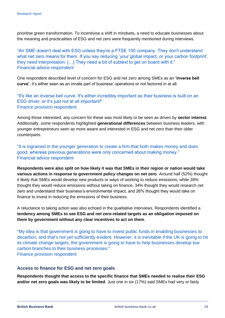prioritise green transformation. To incentivise a shift in mindsets, a need to educate businesses about the meaning and practicalities of ESG and net zero were frequently mentioned during interviews.

"An SME doesn't deal with ESG unless they're a FTSE 100 company. They don't understand what net zero means for them. If you say reducing 'your global impact, or your carbon footprint', they need interpretation. […] They need a bit of subtext to get on board with it." Financial advice respondent

One respondent described level of concern for ESG and net zero among SMEs as an **'inverse bell curve'**, it's either seen as an innate part of business' operations or not factored in at all.

"It's like an inverse bell curve. It's either incredibly important as their business is built on an ESG driver, or it's just not at all important!" Finance provision respondent

Among those interested, any concern for these was most likely to be seen as driven by **sector interest**. Additionally, some respondents highlighted **generational differences** between business leaders, with younger entrepreneurs seen as more aware and interested in ESG and net zero than their older counterparts.

"It is ingrained in the younger generation to create a firm that both makes money and does good, whereas previous generations were only concerned about making money." Financial advice respondent

**Respondents were also split on how likely it was that SMEs in their region or nation would take various actions in response to government policy changes on net zero**. Around half (52%) thought it likely that SMEs would develop new products or ways of working to reduce emissions, while 39% thought they would reduce emissions without taking on finance, 34% thought they would research net zero and understand their business's environmental impact, and 26% thought they would take on finance to invest in reducing the emissions of their business.

A reluctance to taking action was also echoed in the qualitative interviews. Respondents identified a **tendency among SMEs to see ESG and net zero-related targets as an obligation imposed on them by government without any clear incentives to act on them**.

"My idea is that government is going to have to invest public funds in enabling businesses to decarbon, and that's not yet sufficiently evident. However, it is inevitable if the UK is going to hit its climate change targets, the government is going to have to help businesses develop low carbon branches to their business processes." Finance provision respondent

### <span id="page-23-0"></span>**Access to finance for ESG and net zero goals**

**Respondents thought that access to the specific finance that SMEs needed to realise their ESG and/or net zero goals was likely to be limited**. Just one in six (17%) said SMEs had very or fairly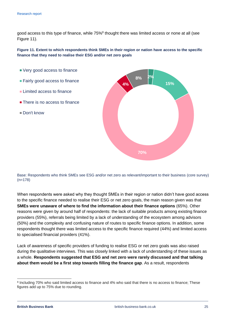good access to this type of finance, while 75%<sup>8</sup> thought there was limited access or none at all (see Figure 11).

### **Figure 11. Extent to which respondents think SMEs in their region or nation have access to the specific finance that they need to realise their ESG and/or net zero goals**

![](_page_24_Figure_3.jpeg)

Base: Respondents who think SMEs see ESG and/or net zero as relevant/important to their business (core survey) (n=178)

When respondents were asked why they thought SMEs in their region or nation didn't have good access to the specific finance needed to realise their ESG or net zero goals, the main reason given was that **SMEs were unaware of where to find the information about their finance options** (65%). Other reasons were given by around half of respondents: the lack of suitable products among existing finance providers (55%), referrals being limited by a lack of understanding of the ecosystem among advisors (50%) and the complexity and confusing nature of routes to specific finance options. In addition, some respondents thought there was limited access to the specific finance required (44%) and limited access to specialised financial providers (41%).

Lack of awareness of specific providers of funding to realise ESG or net zero goals was also raised during the qualitative interviews. This was closely linked with a lack of understanding of these issues as a whole. **Respondents suggested that ESG and net zero were rarely discussed and that talking about them would be a first step towards filling the finance gap**. As a result, respondents

<sup>&</sup>lt;sup>8</sup> Including 70% who said limited access to finance and 4% who said that there is no access to finance; These figures add up to 75% due to rounding.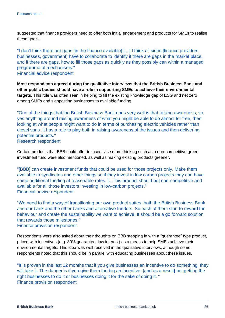suggested that finance providers need to offer both initial engagement and products for SMEs to realise these goals.

"I don't think there are gaps [in the finance available] […] I think all sides [finance providers, businesses, government] have to collaborate to identify if there are gaps in the market place, and if there are gaps, how to fill those gaps as quickly as they possibly can within a managed programme of mechanisms." Financial advice respondent

**Most respondents agreed during the qualitative interviews that the British Business Bank and other public bodies should have a role in supporting SMEs to achieve their environmental targets**. This role was often seen in helping to fill the existing knowledge gap of ESG and net zero among SMEs and signposting businesses to available funding.

"One of the things that the British Business Bank does very well is that raising awareness, so yes anything around raising awareness of what you might be able to do almost for free, then looking at what people might want to do in terms of purchasing electric vehicles rather than diesel vans .It has a role to play both in raising awareness of the issues and then delivering potential products." Research respondent

Certain products that BBB could offer to incentivise more thinking such as a non-competitive green investment fund were also mentioned, as well as making existing products greener.

"[BBB] can create investment funds that could be used for those projects only. Make them available to syndicates and other things so if they invest in low carbon projects they can have some additional funding at reasonable rates. [...This product should be] non-competitive and available for all those investors investing in low-carbon projects." Financial advice respondent

"We need to find a way of transitioning our own product suites, both the British Business Bank and our bank and the other banks and alternative funders. So each of them start to reward the behaviour and create the sustainability we want to achieve. It should be a go forward solution that rewards those milestones." Finance provision respondent

Respondents were also asked about their thoughts on BBB stepping in with a "guarantee" type product, priced with incentives (e.g. 80% guarantee, low interest) as a means to help SMEs achieve their environmental targets. This idea was well received in the qualitative interviews, although some respondents noted that this should be in parallel with educating businesses about these issues.

"It is proven in the last 12 months that if you give businesses an incentive to do something, they will take it. The danger is if you give them too big an incentive; [and as a result] not getting the right businesses to do it or businesses doing it for the sake of doing it. " Finance provision respondent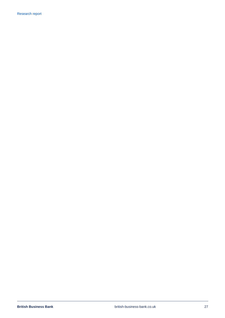Research report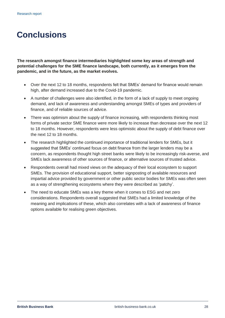# <span id="page-27-0"></span>**Conclusions**

**The research amongst finance intermediaries highlighted some key areas of strength and potential challenges for the SME finance landscape, both currently, as it emerges from the pandemic, and in the future, as the market evolves.**

- Over the next 12 to 18 months, respondents felt that SMEs' demand for finance would remain high, after demand increased due to the Covid-19 pandemic.
- A number of challenges were also identified, in the form of a lack of supply to meet ongoing demand, and lack of awareness and understanding amongst SMEs of types and providers of finance, and of reliable sources of advice.
- There was optimism about the supply of finance increasing, with respondents thinking most forms of private sector SME finance were more likely to increase than decrease over the next 12 to 18 months. However, respondents were less optimistic about the supply of debt finance over the next 12 to 18 months.
- The research highlighted the continued importance of traditional lenders for SMEs, but it suggested that SMEs' continued focus on debt finance from the larger lenders may be a concern, as respondents thought high street banks were likely to be increasingly risk-averse, and SMEs lack awareness of other sources of finance, or alternative sources of trusted advice.
- Respondents overall had mixed views on the adequacy of their local ecosystem to support SMEs. The provision of educational support, better signposting of available resources and impartial advice provided by government or other public sector bodies for SMEs was often seen as a way of strengthening ecosystems where they were described as 'patchy'.
- The need to educate SMEs was a key theme when it comes to ESG and net zero considerations. Respondents overall suggested that SMEs had a limited knowledge of the meaning and implications of these, which also correlates with a lack of awareness of finance options available for realising green objectives.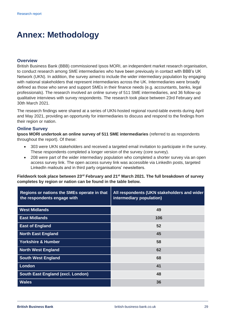# <span id="page-28-0"></span>**Annex: Methodology**

### **Overview**

British Business Bank (BBB) commissioned Ipsos MORI, an independent market research organisation, to conduct research among SME intermediaries who have been previously in contact with BBB's UK Network (UKN). In addition, the survey aimed to include the wider intermediary population by engaging with national stakeholders that represent intermediaries across the UK. Intermediaries were broadly defined as those who serve and support SMEs in their finance needs (e.g. accountants, banks, legal professionals). The research involved an online survey of 511 SME intermediaries, and 36 follow-up qualitative interviews with survey respondents. The research took place between 23rd February and 30th March 2021.

The research findings were shared at a series of UKN-hosted regional round-table events during April and May 2021, providing an opportunity for intermediaries to discuss and respond to the findings from their region or nation.

### **Online Survey**

**Ipsos MORI undertook an online survey of 511 SME intermediaries** (referred to as respondents throughout the report). Of these:

- 303 were UKN stakeholders and received a targeted email invitation to participate in the survey. These respondents completed a longer version of the survey (core survey).
- 208 were part of the wider intermediary population who completed a shorter survey via an open access survey link. The open access survey link was accessible via LinkedIn posts, targeted LinkedIn mailouts and in third party organisations' newsletters.

**Fieldwork took place between 23rd February and 21st March 2021. The full breakdown of survey completes by region or nation can be found in the table below.**

| Regions or nations the SMEs operate in that<br>the respondents engage with | All respondents (UKN stakeholders and wider<br>intermediary population) |
|----------------------------------------------------------------------------|-------------------------------------------------------------------------|
| <b>West Midlands</b>                                                       | 49                                                                      |
| <b>East Midlands</b>                                                       | 106                                                                     |
| <b>East of England</b>                                                     | 52                                                                      |
| <b>North East England</b>                                                  | 45                                                                      |
| <b>Yorkshire &amp; Humber</b>                                              | 58                                                                      |
| <b>North West England</b>                                                  | 62                                                                      |
| <b>South West England</b>                                                  | 68                                                                      |
| London                                                                     | 41                                                                      |
| South East England (excl. London)                                          | 48                                                                      |
| <b>Wales</b>                                                               | 36                                                                      |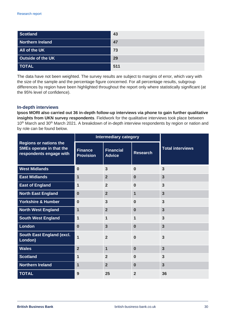| <b>Scotland</b>          | 43  |
|--------------------------|-----|
| <b>Northern Ireland</b>  | 47  |
| All of the UK            | 73  |
| <b>Outside of the UK</b> | 29  |
| <b>TOTAL</b>             | 511 |

The data have not been weighted. The survey results are subject to margins of error, which vary with the size of the sample and the percentage figure concerned. For all percentage results, subgroup differences by region have been highlighted throughout the report only where statistically significant (at the 95% level of confidence).

### **In-depth interviews**

**Ipsos MORI also carried out 36 in-depth follow-up interviews via phone to gain further qualitative insights from UKN survey respondents**. Fieldwork for the qualitative interviews took place between 10<sup>th</sup> March and 30<sup>th</sup> March 2021. A breakdown of in-depth interview respondents by region or nation and by role can be found below.

|                                                                                      | <b>Intermediary category</b>       |                                   |                 |                         |
|--------------------------------------------------------------------------------------|------------------------------------|-----------------------------------|-----------------|-------------------------|
| <b>Regions or nations the</b><br>SMEs operate in that the<br>respondents engage with | <b>Finance</b><br><b>Provision</b> | <b>Financial</b><br><b>Advice</b> | <b>Research</b> | <b>Total interviews</b> |
| <b>West Midlands</b>                                                                 | $\bf{0}$                           | $\overline{3}$                    | $\bf{0}$        | 3                       |
| <b>East Midlands</b>                                                                 | $\mathbf 1$                        | $\overline{2}$                    | $\bf{0}$        | $\overline{3}$          |
| <b>East of England</b>                                                               | 1                                  | $\overline{2}$                    | 0               | $\overline{3}$          |
| <b>North East England</b>                                                            | $\bf{0}$                           | $\overline{2}$                    | $\mathbf{1}$    | $\overline{3}$          |
| <b>Yorkshire &amp; Humber</b>                                                        | $\bf{0}$                           | $\overline{3}$                    | $\bf{0}$        | $\overline{3}$          |
| <b>North West England</b>                                                            | 1                                  | $\overline{2}$                    | $\bf{0}$        | $\overline{3}$          |
| <b>South West England</b>                                                            | 1                                  | 1                                 | 1               | 3                       |
| London                                                                               | $\bf{0}$                           | $\overline{\mathbf{3}}$           | $\bf{0}$        | $\overline{\mathbf{3}}$ |
| South East England (excl.<br>London)                                                 | $\overline{1}$                     | $\overline{2}$                    | $\bf{0}$        | 3                       |
| <b>Wales</b>                                                                         | $\overline{2}$                     | $\mathbf 1$                       | $\bf{0}$        | $\overline{3}$          |
| <b>Scotland</b>                                                                      | 1                                  | $\overline{2}$                    | $\bf{0}$        | $\overline{\mathbf{3}}$ |
| <b>Northern Ireland</b>                                                              | 1                                  | $\overline{2}$                    | $\bf{0}$        | $\overline{3}$          |
| <b>TOTAL</b>                                                                         | 9                                  | 25                                | $\overline{2}$  | 36                      |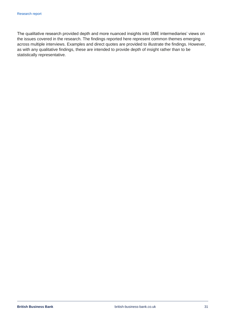The qualitative research provided depth and more nuanced insights into SME intermediaries' views on the issues covered in the research. The findings reported here represent common themes emerging across multiple interviews. Examples and direct quotes are provided to illustrate the findings. However, as with any qualitative findings, these are intended to provide depth of insight rather than to be statistically representative.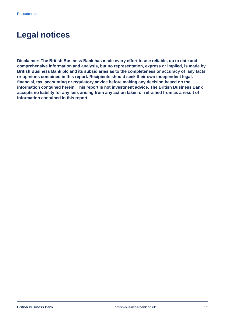# <span id="page-31-0"></span>**Legal notices**

**Disclaimer: The British Business Bank has made every effort to use reliable, up to date and comprehensive information and analysis, but no representation, express or implied, is made by British Business Bank plc and its subsidiaries as to the completeness or accuracy of any facts or opinions contained in this report. Recipients should seek their own independent legal, financial, tax, accounting or regulatory advice before making any decision based on the information contained herein. This report is not investment advice. The British Business Bank accepts no liability for any loss arising from any action taken or refrained from as a result of information contained in this report.**